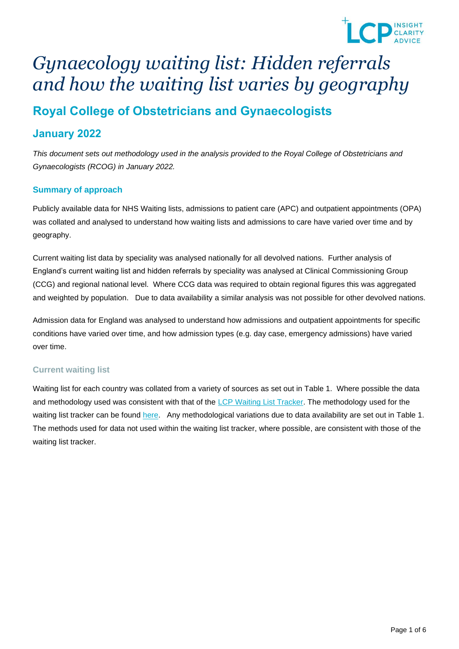

# *Gynaecology waiting list: Hidden referrals and how the waiting list varies by geography*

# **Royal College of Obstetricians and Gynaecologists**

## **January 2022**

*This document sets out methodology used in the analysis provided to the Royal College of Obstetricians and Gynaecologists (RCOG) in January 2022.* 

### **Summary of approach**

Publicly available data for NHS Waiting lists, admissions to patient care (APC) and outpatient appointments (OPA) was collated and analysed to understand how waiting lists and admissions to care have varied over time and by geography.

Current waiting list data by speciality was analysed nationally for all devolved nations. Further analysis of England's current waiting list and hidden referrals by speciality was analysed at Clinical Commissioning Group (CCG) and regional national level. Where CCG data was required to obtain regional figures this was aggregated and weighted by population. Due to data availability a similar analysis was not possible for other devolved nations.

Admission data for England was analysed to understand how admissions and outpatient appointments for specific conditions have varied over time, and how admission types (e.g. day case, emergency admissions) have varied over time.

### **Current waiting list**

Waiting list for each country was collated from a variety of sources as set out in Table 1. Where possible the data and methodology used was consistent with that of the [LCP Waiting List Tracker.](https://nhswaitlist.lcp.uk.com/dataAndMethod) The methodology used for the waiting list tracker can be found [here.](https://nhswaitlist.lcp.uk.com/dataAndMethod) Any methodological variations due to data availability are set out in Table 1. The methods used for data not used within the waiting list tracker, where possible, are consistent with those of the waiting list tracker.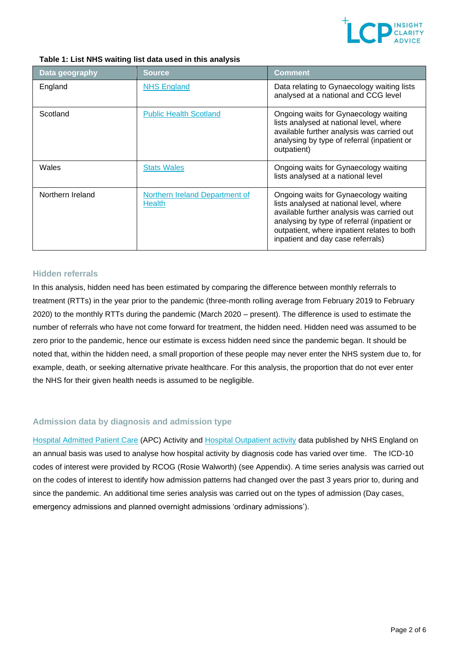

#### **Table 1: List NHS waiting list data used in this analysis**

| Data geography   | <b>Source</b>                                   | Comment                                                                                                                                                                                                                                                           |
|------------------|-------------------------------------------------|-------------------------------------------------------------------------------------------------------------------------------------------------------------------------------------------------------------------------------------------------------------------|
| England          | <b>NHS England</b>                              | Data relating to Gynaecology waiting lists<br>analysed at a national and CCG level                                                                                                                                                                                |
| Scotland         | <b>Public Health Scotland</b>                   | Ongoing waits for Gynaecology waiting<br>lists analysed at national level, where<br>available further analysis was carried out<br>analysing by type of referral (inpatient or<br>outpatient)                                                                      |
| Wales            | <b>Stats Wales</b>                              | Ongoing waits for Gynaecology waiting<br>lists analysed at a national level                                                                                                                                                                                       |
| Northern Ireland | Northern Ireland Department of<br><b>Health</b> | Ongoing waits for Gynaecology waiting<br>lists analysed at national level, where<br>available further analysis was carried out<br>analysing by type of referral (inpatient or<br>outpatient, where inpatient relates to both<br>inpatient and day case referrals) |

### **Hidden referrals**

In this analysis, hidden need has been estimated by comparing the difference between monthly referrals to treatment (RTTs) in the year prior to the pandemic (three-month rolling average from February 2019 to February 2020) to the monthly RTTs during the pandemic (March 2020 – present). The difference is used to estimate the number of referrals who have not come forward for treatment, the hidden need. Hidden need was assumed to be zero prior to the pandemic, hence our estimate is excess hidden need since the pandemic began. It should be noted that, within the hidden need, a small proportion of these people may never enter the NHS system due to, for example, death, or seeking alternative private healthcare. For this analysis, the proportion that do not ever enter the NHS for their given health needs is assumed to be negligible.

### **Admission data by diagnosis and admission type**

[Hospital Admitted Patient Care](https://digital.nhs.uk/data-and-information/publications/statistical/hospital-admitted-patient-care-activity) (APC) Activity and [Hospital Outpatient activity](https://digital.nhs.uk/data-and-information/publications/statistical/hospital-outpatient-activity) data published by NHS England on an annual basis was used to analyse how hospital activity by diagnosis code has varied over time. The ICD-10 codes of interest were provided by RCOG (Rosie Walworth) (see Appendix). A time series analysis was carried out on the codes of interest to identify how admission patterns had changed over the past 3 years prior to, during and since the pandemic. An additional time series analysis was carried out on the types of admission (Day cases, emergency admissions and planned overnight admissions 'ordinary admissions').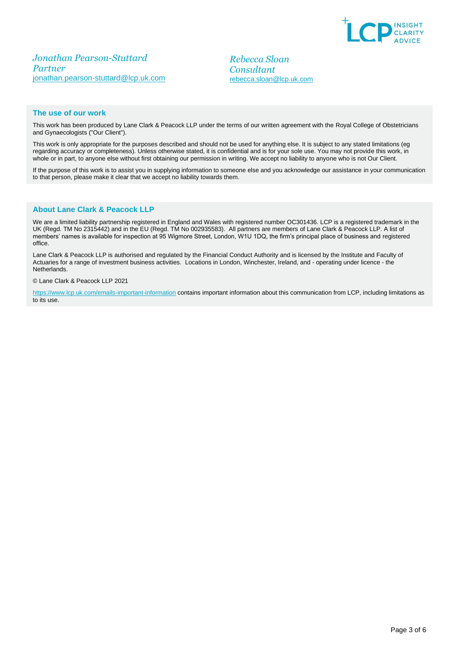

*Jonathan Pearson-Stuttard Partner* [jonathan.pearson-stuttard@lcp.uk.com](mailto:jonathan.pearson-stuttard@lcp.uk.com)

*Rebecca Sloan Consultant* rebecca.sloan@lcp.uk.com

#### **The use of our work**

This work has been produced by Lane Clark & Peacock LLP under the terms of our written agreement with the Royal College of Obstetricians and Gynaecologists ("Our Client").

This work is only appropriate for the purposes described and should not be used for anything else. It is subject to any stated limitations (eg regarding accuracy or completeness). Unless otherwise stated, it is confidential and is for your sole use. You may not provide this work, in whole or in part, to anyone else without first obtaining our permission in writing. We accept no liability to anyone who is not Our Client.

If the purpose of this work is to assist you in supplying information to someone else and you acknowledge our assistance in your communication to that person, please make it clear that we accept no liability towards them.

#### **About Lane Clark & Peacock LLP**

We are a limited liability partnership registered in England and Wales with registered number OC301436. LCP is a registered trademark in the UK (Regd. TM No 2315442) and in the EU (Regd. TM No 002935583). All partners are members of Lane Clark & Peacock LLP. A list of members' names is available for inspection at 95 Wigmore Street, London, W1U 1DQ, the firm's principal place of business and registered office.

Lane Clark & Peacock LLP is authorised and regulated by the Financial Conduct Authority and is licensed by the Institute and Faculty of Actuaries for a range of investment business activities. Locations in London, Winchester, Ireland, and - operating under licence - the Netherlands.

#### © Lane Clark & Peacock LLP 2021

[https://www.lcp.uk.com/emails-important-information](https://www.lcp.uk.com/emails-important-information/) contains important information about this communication from LCP, including limitations as to its use.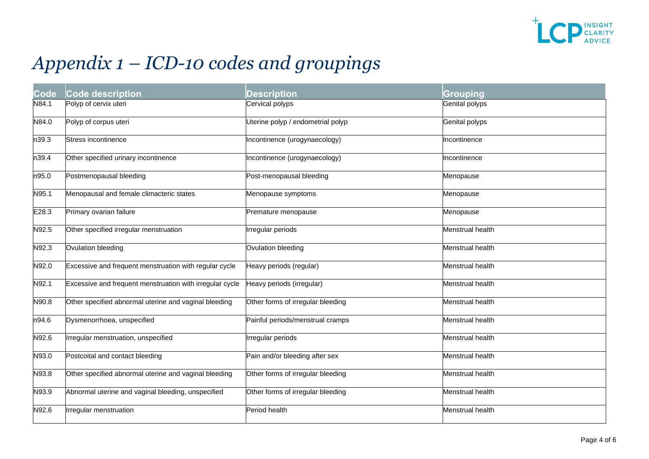

# *Appendix 1 – ICD-10 codes and groupings*

| Code  | <b>Code description</b>                                  | <b>Description</b>                | Grouping         |
|-------|----------------------------------------------------------|-----------------------------------|------------------|
| N84.1 | Polyp of cervix uteri                                    | Cervical polyps                   | Genital polyps   |
| N84.0 | Polyp of corpus uteri                                    | Uterine polyp / endometrial polyp | Genital polyps   |
| n39.3 | Stress incontinence                                      | Incontinence (urogynaecology)     | Incontinence     |
| n39.4 | Other specified urinary incontinence                     | Incontinence (urogynaecology)     | ncontinence      |
| n95.0 | Postmenopausal bleeding                                  | Post-menopausal bleeding          | Menopause        |
| N95.1 | Menopausal and female climacteric states                 | Menopause symptoms                | Menopause        |
| E28.3 | Primary ovarian failure                                  | Premature menopause               | Menopause        |
| N92.5 | Other specified irregular menstruation                   | Irregular periods                 | Menstrual health |
| N92.3 | Ovulation bleeding                                       | Ovulation bleeding                | Menstrual health |
| N92.0 | Excessive and frequent menstruation with regular cycle   | Heavy periods (regular)           | Menstrual health |
| N92.1 | Excessive and frequent menstruation with irregular cycle | Heavy periods (irregular)         | Menstrual health |
| N90.8 | Other specified abnormal uterine and vaginal bleeding    | Other forms of irregular bleeding | Menstrual health |
| n94.6 | Dysmenorrhoea, unspecified                               | Painful periods/menstrual cramps  | Menstrual health |
| N92.6 | Irregular menstruation, unspecified                      | Irregular periods                 | Menstrual health |
| N93.0 | Postcoital and contact bleeding                          | Pain and/or bleeding after sex    | Menstrual health |
| N93.8 | Other specified abnormal uterine and vaginal bleeding    | Other forms of irregular bleeding | Menstrual health |
| N93.9 | Abnormal uterine and vaginal bleeding, unspecified       | Other forms of irregular bleeding | Menstrual health |
| N92.6 | Irregular menstruation                                   | Period health                     | Menstrual health |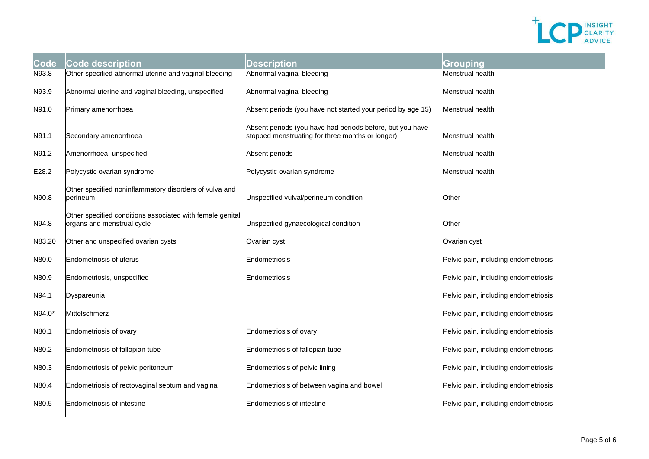

| Code   | <b>Code description</b>                                                                 | Description                                                                                                   | Grouping                             |
|--------|-----------------------------------------------------------------------------------------|---------------------------------------------------------------------------------------------------------------|--------------------------------------|
| N93.8  | Other specified abnormal uterine and vaginal bleeding                                   | Abnormal vaginal bleeding                                                                                     | Menstrual health                     |
| N93.9  | Abnormal uterine and vaginal bleeding, unspecified                                      | Abnormal vaginal bleeding                                                                                     | Menstrual health                     |
| N91.0  | Primary amenorrhoea                                                                     | Absent periods (you have not started your period by age 15)                                                   | Menstrual health                     |
| N91.1  | Secondary amenorrhoea                                                                   | Absent periods (you have had periods before, but you have<br>stopped menstruating for three months or longer) | Menstrual health                     |
| N91.2  | Amenorrhoea, unspecified                                                                | Absent periods                                                                                                | Menstrual health                     |
| E28.2  | Polycystic ovarian syndrome                                                             | Polycystic ovarian syndrome                                                                                   | Menstrual health                     |
| N90.8  | Other specified noninflammatory disorders of vulva and<br>perineum                      | Unspecified vulval/perineum condition                                                                         | Other                                |
| N94.8  | Other specified conditions associated with female genital<br>organs and menstrual cycle | Unspecified gynaecological condition                                                                          | Other                                |
| N83.20 | Other and unspecified ovarian cysts                                                     | Ovarian cyst                                                                                                  | Ovarian cyst                         |
| N80.0  | <b>Endometriosis of uterus</b>                                                          | Endometriosis                                                                                                 | Pelvic pain, including endometriosis |
| N80.9  | Endometriosis, unspecified                                                              | Endometriosis                                                                                                 | Pelvic pain, including endometriosis |
| N94.1  | Dyspareunia                                                                             |                                                                                                               | Pelvic pain, including endometriosis |
| N94.0* | Mittelschmerz                                                                           |                                                                                                               | Pelvic pain, including endometriosis |
| N80.1  | Endometriosis of ovary                                                                  | Endometriosis of ovary                                                                                        | Pelvic pain, including endometriosis |
| N80.2  | Endometriosis of fallopian tube                                                         | Endometriosis of fallopian tube                                                                               | Pelvic pain, including endometriosis |
| N80.3  | Endometriosis of pelvic peritoneum                                                      | Endometriosis of pelvic lining                                                                                | Pelvic pain, including endometriosis |
| N80.4  | Endometriosis of rectovaginal septum and vagina                                         | Endometriosis of between vagina and bowel                                                                     | Pelvic pain, including endometriosis |
| N80.5  | <b>Endometriosis of intestine</b>                                                       | Endometriosis of intestine                                                                                    | Pelvic pain, including endometriosis |